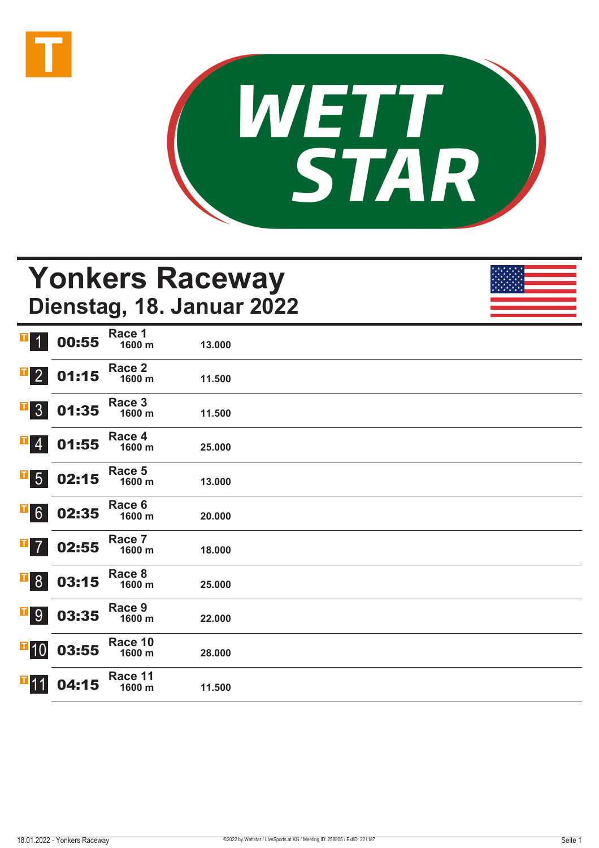



## **Yonkers Raceway Dienstag, 18. Januar 2022**

| П<br>$\overline{1}$                                               | 00:55 | Race 1<br>1600 m  | 13.000 |  |
|-------------------------------------------------------------------|-------|-------------------|--------|--|
| $\mathbf{F}$ 2                                                    | 01:15 | Race 2<br>1600 m  | 11.500 |  |
| $\overline{1}$ 3                                                  | 01:35 | Race 3<br>1600 m  | 11.500 |  |
| $\begin{array}{ c c } \hline \texttt{I} & \texttt{4} \end{array}$ | 01:55 | Race 4<br>1600 m  | 25.000 |  |
| $\overline{\phantom{0}}$ 5                                        | 02:15 | Race 5<br>1600 m  | 13.000 |  |
| $\overline{1}$ 6                                                  | 02:35 | Race 6<br>1600 m  | 20.000 |  |
| $\overline{1}$ 7                                                  | 02:55 | Race 7<br>1600 m  | 18.000 |  |
| $\overline{\phantom{a}}$ 8                                        | 03:15 | Race 8<br>1600 m  | 25.000 |  |
| <b>T</b> 9                                                        | 03:35 | Race 9<br>1600 m  | 22.000 |  |
| $\blacksquare$ 10                                                 | 03:55 | Race 10<br>1600 m | 28.000 |  |
| $\blacksquare$ 11                                                 | 04:15 | Race 11<br>1600 m | 11.500 |  |
|                                                                   |       |                   |        |  |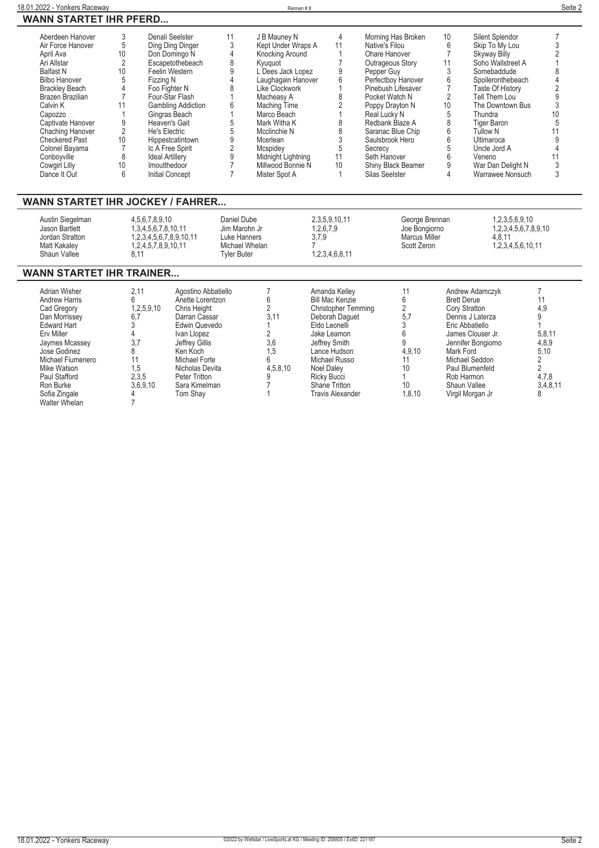| Aberdeen Hanover      |    | Denali Seelster           | 11 | J B Mauney N       | 4  | Morning Has Broken        | 10              | Silent Splendor         |    |
|-----------------------|----|---------------------------|----|--------------------|----|---------------------------|-----------------|-------------------------|----|
| Air Force Hanover     | 5  | Ding Ding Dinger          |    | Kept Under Wraps A |    | Native's Filou            |                 | Skip To My Lou          |    |
| April Ava             | 10 | Don Domingo N             |    | Knocking Around    |    | Ohare Hanover             |                 | <b>Skyway Billy</b>     |    |
| Ari Allstar           |    |                           |    |                    |    |                           |                 | Soho Wallstreet A       |    |
|                       |    | Escapetothebeach          |    | Kyuguot            |    | Outrageous Story          |                 |                         |    |
| <b>Balfast N</b>      | 10 | Feelin Western            |    | L Dees Jack Lopez  |    | Pepper Guy                |                 | Somebaddude             |    |
| <b>Bilbo Hanover</b>  |    | Fizzing N                 |    | Laughagain Hanover |    | Perfectboy Hanover        |                 | Spoileronthebeach       |    |
| <b>Brackley Beach</b> |    | Foo Fighter N             |    | Like Clockwork     |    | Pinebush Lifesaver        |                 | <b>Taste Of History</b> |    |
| Brazen Brazilian      |    | Four-Star Flash           |    | Macheasy A         |    | Pocket Watch N            |                 | Tell Them Lou           |    |
| Calvin K              |    | <b>Gambling Addiction</b> |    | Maching Time       |    | Poppy Drayton N           | 10 <sup>°</sup> | The Downtown Bus        |    |
| Capozzo               |    | Gingras Beach             |    | Marco Beach        |    | Real Lucky N              |                 | Thundra                 | 10 |
| Captivate Hanover     |    | Heaven's Gait             |    | Mark Witha K       |    | Redbank Blaze A           |                 | <b>Tiger Baron</b>      |    |
| Chaching Hanover      |    | He's Electric             |    | Mcclinchie N       |    | Saranac Blue Chip         |                 | <b>Tullow N</b>         |    |
| <b>Checkered Past</b> | 10 | Hippestcatintown          |    | Mcerlean           |    | Saulsbrook Hero           |                 | Ultimaroca              |    |
| Colonel Bayama        |    | Ic A Free Spirit          |    | Mcspidev           |    | Secrecy                   |                 | Uncle Jord A            |    |
| Conboyville           | 8  | <b>Ideal Artillery</b>    |    | Midnight Lightning |    | Seth Hanover              |                 | Veneno                  |    |
| Cowgirl Lilly         | 10 | Imoutthedoor              |    | Millwood Bonnie N  | 10 | <b>Shiny Black Beamer</b> |                 | War Dan Delight N       |    |
| Dance It Out          |    | <b>Initial Concept</b>    |    | Mister Spot A      |    | Silas Seelster            |                 | Warrawee Nonsuch        |    |

#### **WANN STARTET IHR JOCKEY / FAHRER...**

| Austin Siegelman<br>Jason Bartlett<br>Jordan Stratton<br>Matt Kakalev<br>Shaun Vallee | 4.5.6.7.8.9.10<br>1.3.4.5.6.7.8.10.11<br>.2.3.4.5.6.7.8.9.10.11<br>1.2.4.5.7.8.9.10.11 | Daniel Dube<br>Jim Marohn Jr<br>Luke Hanners<br>Michael Whelan<br>Tvler Buter | 2.3.5.9.10.11<br>1,2,6,7,9<br>3,7,9<br>1.2.3.4.6.8.11 | George Brennan<br>Joe Bongiorno<br>Marcus Miller<br>Scott Zeron | 1.2.3.5.6.9.10<br>1.2.3.4.5.6.7.8.9.10<br>4.8.11<br>1,2,3,4,5,6,10,11 |  |
|---------------------------------------------------------------------------------------|----------------------------------------------------------------------------------------|-------------------------------------------------------------------------------|-------------------------------------------------------|-----------------------------------------------------------------|-----------------------------------------------------------------------|--|
|---------------------------------------------------------------------------------------|----------------------------------------------------------------------------------------|-------------------------------------------------------------------------------|-------------------------------------------------------|-----------------------------------------------------------------|-----------------------------------------------------------------------|--|

### **WANN STARTET IHR TRAINER...**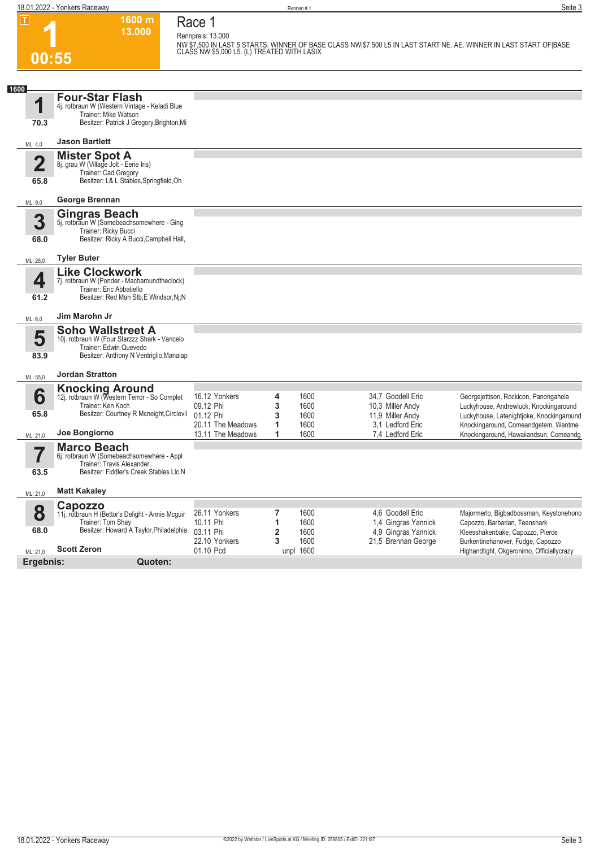**18.01.2022 - Yonkers Raceway** Seite 3

**1600 m Race 1 Rennpreis: 13.000**

**13.000** 

**1 00:55**

**NW \$7,500 IN LAST 5 STARTS. WINNER OF BASE CLASS NW|\$7,500 L5 IN LAST START NE. AE. WINNER IN LAST START OF|BASE CLASS NW \$5,000 L5. (L) TREATED WITH LASIX** 

| 1600                    |                                                                                                                                         |                                                            |                      |                                                          |                                                                                     |
|-------------------------|-----------------------------------------------------------------------------------------------------------------------------------------|------------------------------------------------------------|----------------------|----------------------------------------------------------|-------------------------------------------------------------------------------------|
| 1                       | <b>Four-Star Flash</b><br>4j. rotbraun W (Western Vintage - Keladi Blue<br>Trainer: Mike Watson                                         |                                                            |                      |                                                          |                                                                                     |
| 70.3                    | Besitzer: Patrick J Gregory, Brighton, Mi                                                                                               |                                                            |                      |                                                          |                                                                                     |
| ML: 4,0                 | <b>Jason Bartlett</b>                                                                                                                   |                                                            |                      |                                                          |                                                                                     |
| $\overline{\mathbf{2}}$ | <b>Mister Spot A</b><br>8j. grau W (Village Jolt - Eerie Iris)<br>Trainer: Cad Gregory                                                  |                                                            |                      |                                                          |                                                                                     |
| 65.8                    | Besitzer: L& L Stables, Springfield, Oh                                                                                                 |                                                            |                      |                                                          |                                                                                     |
| ML: 9,0                 | George Brennan                                                                                                                          |                                                            |                      |                                                          |                                                                                     |
| 3                       | <b>Gingras Beach</b><br>5j. rotbraun W (Somebeachsomewhere - Ging                                                                       |                                                            |                      |                                                          |                                                                                     |
| 68.0                    | Trainer: Ricky Bucci<br>Besitzer: Ricky A Bucci, Campbell Hall,                                                                         |                                                            |                      |                                                          |                                                                                     |
| ML: 28,0                | <b>Tyler Buter</b>                                                                                                                      |                                                            |                      |                                                          |                                                                                     |
| 4                       | <b>Like Clockwork</b><br>7j. rotbraun W (Ponder - Macharoundtheclock)                                                                   |                                                            |                      |                                                          |                                                                                     |
| 61.2                    | Trainer: Eric Abbatiello<br>Besitzer: Red Man Stb, E Windsor, Nj; N                                                                     |                                                            |                      |                                                          |                                                                                     |
| ML: 6,0                 | Jim Marohn Jr                                                                                                                           |                                                            |                      |                                                          |                                                                                     |
| 5                       | <b>Soho Wallstreet A</b><br>10j. rotbraun W (Four Starzzz Shark - Vancelo                                                               |                                                            |                      |                                                          |                                                                                     |
| 83.9                    | Trainer: Edwin Quevedo<br>Besitzer: Anthony N Ventriglio, Manalap                                                                       |                                                            |                      |                                                          |                                                                                     |
| ML: 55,0                | <b>Jordan Stratton</b>                                                                                                                  |                                                            |                      |                                                          |                                                                                     |
| 6                       | <b>Knocking Around</b><br>12j. rotbraun W (Western Terror - So Complet                                                                  | 16.12 Yonkers<br>4                                         | 1600                 | 34.7 Goodell Eric                                        | Georgejettison, Rockicon, Panongahela                                               |
| 65.8                    | Trainer: Ken Koch<br>Besitzer: Courtney R Mcneight, Circlevil                                                                           | 3<br>09.12 Phl<br>01.12 Phl<br>3<br>20.11 The Meadows<br>1 | 1600<br>1600<br>1600 | 10.3 Miller Andy<br>11,9 Miller Andy<br>3.1 Ledford Eric | Luckyhouse, Andrewluck, Knockingaround<br>Luckyhouse, Latenightjoke, Knockingaround |
| ML: 21,0                | Joe Bongiorno                                                                                                                           | 13.11 The Meadows<br>1                                     | 1600                 | 7,4 Ledford Eric                                         | Knockingaround, Comeandgetem, Wantme<br>Knockingaround, Hawaiiandsun, Comeandg      |
| 7<br>63.5               | <b>Marco Beach</b><br>6j. rotbraun W (Somebeachsomewhere - Appl<br>Trainer: Travis Alexander<br>Besitzer: Fiddler's Creek Stables Llc,N |                                                            |                      |                                                          |                                                                                     |
| ML: 21,0                | <b>Matt Kakaley</b>                                                                                                                     |                                                            |                      |                                                          |                                                                                     |
|                         | Capozzo                                                                                                                                 |                                                            |                      |                                                          |                                                                                     |
| 8                       | 11j. rotbraun H (Bettor's Delight - Annie Mcguir<br>Trainer: Tom Shay                                                                   | 26.11 Yonkers<br>7<br>10.11 Phl<br>1                       | 1600<br>1600         | 4.6 Goodell Eric<br>1,4 Gingras Yannick                  | Majormerlo, Bigbadbossman, Keystonehono<br>Capozzo, Barbarian, Teenshark            |
| 68.0                    | Besitzer: Howard A Taylor, Philadelphia                                                                                                 | 03.11 Phl<br>$\overline{2}$                                | 1600                 | 4.9 Gingras Yannick                                      | Kleesshakenbake, Capozzo, Pierce                                                    |
|                         | <b>Scott Zeron</b>                                                                                                                      | 22.10 Yonkers<br>3<br>01.10 Pcd                            | 1600                 | 21,5 Brennan George                                      | Burkentinehanover, Fudge, Capozzo                                                   |
| ML: 21,0<br>Ergebnis:   | Quoten:                                                                                                                                 |                                                            | unpl 1600            |                                                          | Highandtight, Okgeronimo, Officiallycrazy                                           |
|                         |                                                                                                                                         |                                                            |                      |                                                          |                                                                                     |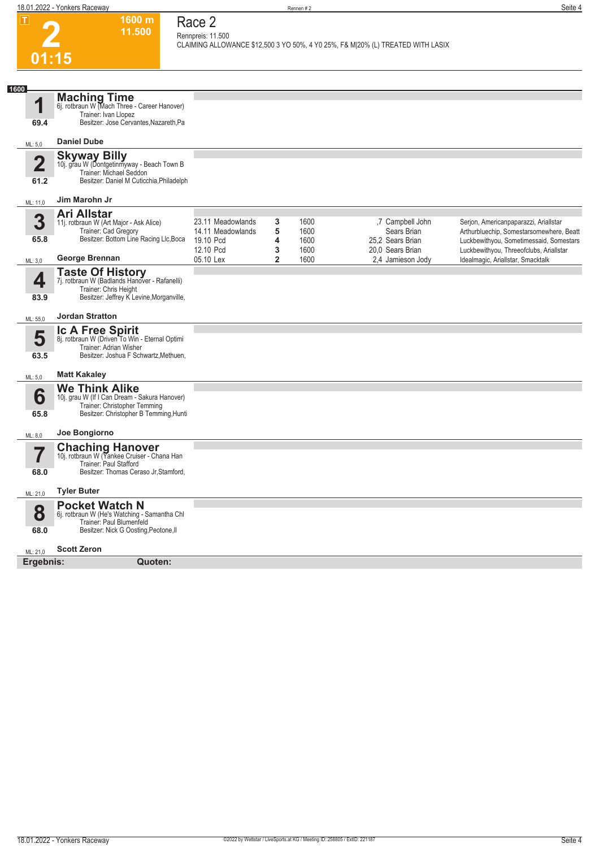**1600 m 11.500** 

**Race 2 Rennpreis: 11.500**

**CLAIMING ALLOWANCE \$12,500 3 YO 50%, 4 Y0 25%, F& M|20% (L) TREATED WITH LASIX** 



| 1600                   |                                                                                                                                                  |                                                     |             |                      |                                                     |                                                                                                                              |
|------------------------|--------------------------------------------------------------------------------------------------------------------------------------------------|-----------------------------------------------------|-------------|----------------------|-----------------------------------------------------|------------------------------------------------------------------------------------------------------------------------------|
| 1                      | <b>Maching Time</b><br>6j. rotbraun W (Mach Three - Career Hanover)<br>Trainer: Ivan Llopez                                                      |                                                     |             |                      |                                                     |                                                                                                                              |
| 69.4                   | Besitzer: Jose Cervantes, Nazareth, Pa                                                                                                           |                                                     |             |                      |                                                     |                                                                                                                              |
| ML: 5,0                | <b>Daniel Dube</b>                                                                                                                               |                                                     |             |                      |                                                     |                                                                                                                              |
| $\overline{2}$<br>61.2 | <b>Skyway Billy</b><br>10j. grau W (Dontgetinmyway - Beach Town B<br>Trainer: Michael Seddon<br>Besitzer: Daniel M Cuticchia, Philadelph         |                                                     |             |                      |                                                     |                                                                                                                              |
| ML: 11,0               | Jim Marohn Jr                                                                                                                                    |                                                     |             |                      |                                                     |                                                                                                                              |
| 3<br>65.8              | <b>Ari Allstar</b><br>11j. rotbraun W (Art Major - Ask Alice)<br>Trainer: Cad Gregory<br>Besitzer: Bottom Line Racing Llc, Boca                  | 23.11 Meadowlands<br>14.11 Meadowlands<br>19.10 Pcd | 3<br>5<br>4 | 1600<br>1600<br>1600 | ,7 Campbell John<br>Sears Brian<br>25.2 Sears Brian | Serjon, Americanpaparazzi, ArialIstar<br>Arthurbluechip, Somestarsomewhere, Beatt<br>Luckbewithyou, Sometimessaid, Somestars |
| ML: 3,0                | George Brennan                                                                                                                                   | 12.10 Pcd<br>05.10 Lex                              | 3<br>2      | 1600<br>1600         | 20,0 Sears Brian<br>2,4 Jamieson Jody               | Luckbewithyou, Threeofclubs, ArialIstar<br>Idealmagic, ArialIstar, Smacktalk                                                 |
| 4<br>83.9              | <b>Taste Of History</b><br>7j. rotbraun W (Badlands Hanover - Rafanelli)<br>Trainer: Chris Height<br>Besitzer: Jeffrey K Levine, Morganville,    |                                                     |             |                      |                                                     |                                                                                                                              |
| ML: 55,0               | <b>Jordan Stratton</b>                                                                                                                           |                                                     |             |                      |                                                     |                                                                                                                              |
| 5<br>63.5              | <b>Ic A Free Spirit</b><br>8j. rotbraun W (Driven To Win - Eternal Optimi<br>Trainer: Adrian Wisher<br>Besitzer: Joshua F Schwartz, Methuen,     |                                                     |             |                      |                                                     |                                                                                                                              |
| ML: 5,0                | <b>Matt Kakaley</b>                                                                                                                              |                                                     |             |                      |                                                     |                                                                                                                              |
| 6<br>65.8              | <b>We Think Alike</b><br>10j. grau W (If I Can Dream - Sakura Hanover)<br>Trainer: Christopher Temming<br>Besitzer: Christopher B Temming, Hunti |                                                     |             |                      |                                                     |                                                                                                                              |
| ML: 8,0                | Joe Bongiorno                                                                                                                                    |                                                     |             |                      |                                                     |                                                                                                                              |
| 68.0                   | <b>Chaching Hanover</b><br>10j. rotbraun W (Yankee Cruiser - Chana Han<br>Trainer: Paul Stafford<br>Besitzer: Thomas Ceraso Jr, Stamford,        |                                                     |             |                      |                                                     |                                                                                                                              |
| ML: 21,0               | <b>Tyler Buter</b>                                                                                                                               |                                                     |             |                      |                                                     |                                                                                                                              |
| 8<br>68.0              | <b>Pocket Watch N</b><br>6j. rotbraun W (He's Watching - Samantha Chl<br>Trainer: Paul Blumenfeld<br>Besitzer: Nick G Oosting, Peotone, II       |                                                     |             |                      |                                                     |                                                                                                                              |
| ML: 21,0               | <b>Scott Zeron</b>                                                                                                                               |                                                     |             |                      |                                                     |                                                                                                                              |
| Ergebnis:              | Quoten:                                                                                                                                          |                                                     |             |                      |                                                     |                                                                                                                              |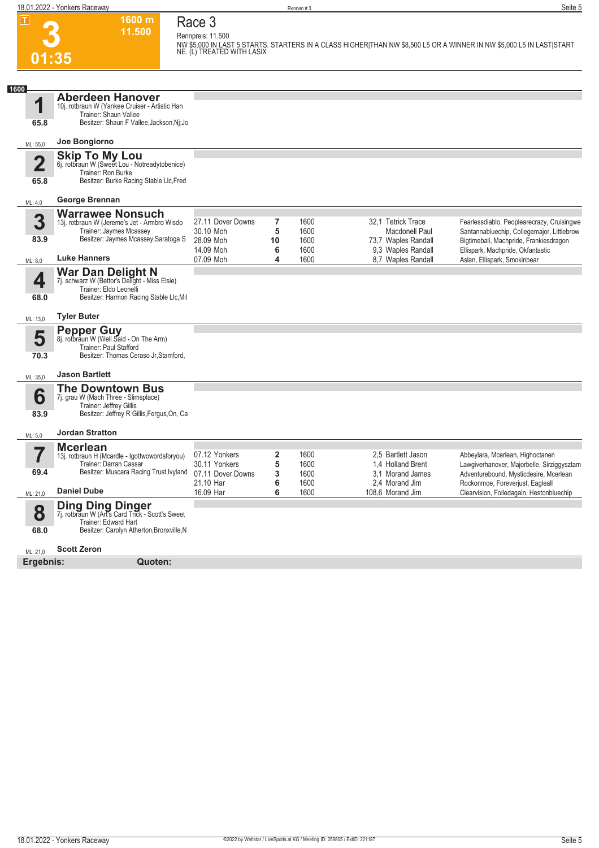**18.01.2022 - Yonkers Raceway** Seite 5

**3**

**Race 3 Rennpreis: 11.500**

**01:35 1600 m 11.500** 

**NW \$5,000 IN LAST 5 STARTS. STARTERS IN A CLASS HIGHER|THAN NW \$8,500 L5 OR A WINNER IN NW \$5,000 L5 IN LAST|START NE. (L) TREATED WITH LASIX** 

| 1600<br>1               | <b>Aberdeen Hanover</b><br>10i. rotbraun W (Yankee Cruiser - Artistic Han |                        |                         |              |                                          |                                                                                          |
|-------------------------|---------------------------------------------------------------------------|------------------------|-------------------------|--------------|------------------------------------------|------------------------------------------------------------------------------------------|
| 65.8                    | Trainer: Shaun Vallee<br>Besitzer: Shaun F Vallee, Jackson, Nj; Jo        |                        |                         |              |                                          |                                                                                          |
|                         |                                                                           |                        |                         |              |                                          |                                                                                          |
| ML: 55,0                | Joe Bongiorno                                                             |                        |                         |              |                                          |                                                                                          |
| $\overline{\mathbf{2}}$ | <b>Skip To My Lou</b><br>6j. rotbraun W (Sweet Lou - Notreadytobenice)    |                        |                         |              |                                          |                                                                                          |
| 65.8                    | Trainer: Ron Burke<br>Besitzer: Burke Racing Stable Llc, Fred             |                        |                         |              |                                          |                                                                                          |
| ML: 4.0                 | George Brennan                                                            |                        |                         |              |                                          |                                                                                          |
| 3                       | <b>Warrawee Nonsuch</b>                                                   | 27.11 Dover Downs      | 7                       | 1600         | 32.1 Tetrick Trace                       |                                                                                          |
|                         | 13j. rotbraun W (Jereme's Jet - Armbro Wisdo<br>Trainer: Jaymes Mcassey   | 30.10 Moh              | 5                       | 1600         | <b>Macdonell Paul</b>                    | Fearlessdiablo, Peoplearecrazy, Cruisingwe<br>Santannabluechip, Collegemajor, Littlebrow |
| 83.9                    | Besitzer: Jaymes Mcassey, Saratoga S                                      | 28.09 Moh              | 10                      | 1600         | 73,7 Waples Randall                      | Bigtimeball, Machpride, Frankiesdragon                                                   |
| ML: 8.0                 | <b>Luke Hanners</b>                                                       | 14.09 Moh<br>07.09 Moh | 6<br>4                  | 1600<br>1600 | 9.3 Waples Randall<br>8.7 Waples Randall | Ellispark, Machpride, Okfantastic<br>Aslan, Ellispark, Smokinbear                        |
|                         | <b>War Dan Delight N</b><br>7j. schwarz W (Bettor's Delight - Miss Elsie) |                        |                         |              |                                          |                                                                                          |
| 4                       | Trainer: Eldo Leonelli                                                    |                        |                         |              |                                          |                                                                                          |
| 68.0                    | Besitzer: Harmon Racing Stable Llc, Mil                                   |                        |                         |              |                                          |                                                                                          |
| ML: 13,0                | <b>Tyler Buter</b>                                                        |                        |                         |              |                                          |                                                                                          |
| 5                       | <b>Pepper Guy</b><br>8j. rotbraun W (Well Said - On The Arm)              |                        |                         |              |                                          |                                                                                          |
|                         | Trainer: Paul Stafford                                                    |                        |                         |              |                                          |                                                                                          |
| 70.3                    | Besitzer: Thomas Ceraso Jr, Stamford,                                     |                        |                         |              |                                          |                                                                                          |
| ML: 35,0                | <b>Jason Bartlett</b>                                                     |                        |                         |              |                                          |                                                                                          |
| 6                       | <b>The Downtown Bus</b><br>7j. grau W (Mach Three - Slimsplace)           |                        |                         |              |                                          |                                                                                          |
|                         | <b>Trainer: Jeffrey Gillis</b>                                            |                        |                         |              |                                          |                                                                                          |
| 83.9                    | Besitzer: Jeffrey R Gillis, Fergus, On, Ca                                |                        |                         |              |                                          |                                                                                          |
| ML: 5,0                 | <b>Jordan Stratton</b>                                                    |                        |                         |              |                                          |                                                                                          |
| 7                       | <b>Mcerlean</b><br>13j. rotbraun H (Mcardle - Igottwowordsforyou)         | 07.12 Yonkers          | $\overline{\mathbf{2}}$ | 1600         | 2.5 Bartlett Jason                       | Abbeylara, Mcerlean, Highoctanen                                                         |
|                         | Trainer: Darran Cassar                                                    | 30.11 Yonkers          | 5                       | 1600         | 1.4 Holland Brent                        | Lawgiverhanover, Majorbelle, Sirziggysztam                                               |
| 69.4                    | Besitzer: Muscara Racing Trust, Ivyland                                   | 07.11 Dover Downs      | 3                       | 1600         | 3.1 Morand James                         | Adventurebound, Mysticdesire, Mcerlean                                                   |
| ML: 21,0                | <b>Daniel Dube</b>                                                        | 21.10 Har<br>16.09 Har | 6<br>6                  | 1600<br>1600 | 2.4 Morand Jim<br>108.6 Morand Jim       | Rockonmoe, Foreverjust, Eagleall<br>Clearvision, Foiledagain, Hestonbluechip             |
|                         | <b>Ding Ding Dinger</b>                                                   |                        |                         |              |                                          |                                                                                          |
| 8                       | 7j. rotbraun W (Art's Card Trick - Scott's Sweet<br>Trainer: Edward Hart  |                        |                         |              |                                          |                                                                                          |
| 68.0                    | Besitzer: Carolyn Atherton, Bronxville, N                                 |                        |                         |              |                                          |                                                                                          |
| ML: 21,0                | <b>Scott Zeron</b>                                                        |                        |                         |              |                                          |                                                                                          |
| Ergebnis:               | Quoten:                                                                   |                        |                         |              |                                          |                                                                                          |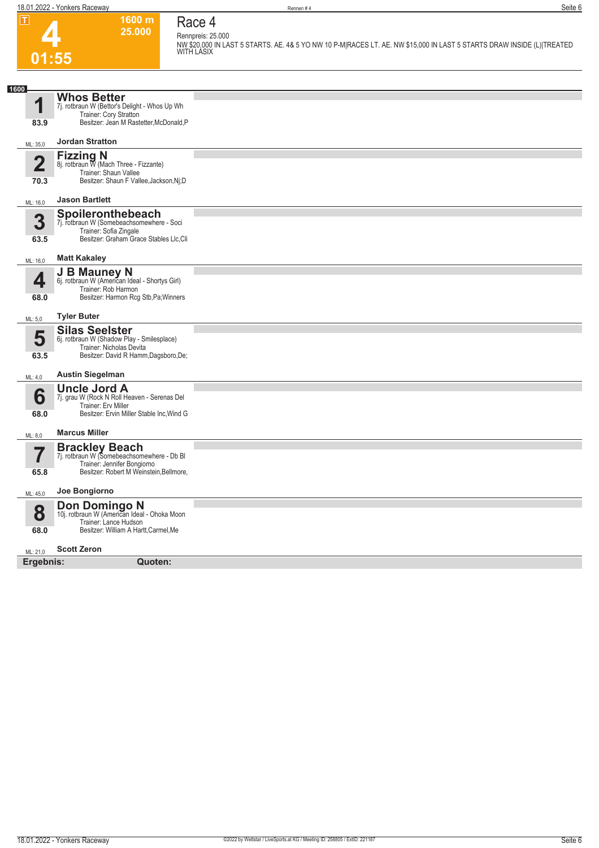

### **Race 4 Rennpreis: 25.000**

**1600 m 25.000** 

**NW \$20,000 IN LAST 5 STARTS. AE. 4& 5 YO NW 10 P-M|RACES LT. AE. NW \$15,000 IN LAST 5 STARTS DRAW INSIDE (L)|TREATED WITH LASIX** 

| 1600           |                                                                                                                                               |  |
|----------------|-----------------------------------------------------------------------------------------------------------------------------------------------|--|
| 1              | <b>Whos Better</b><br>7j. rotbraun W (Bettor's Delight - Whos Up Wh<br>Trainer: Cory Stratton                                                 |  |
| 83.9           | Besitzer: Jean M Rastetter, McDonald, P                                                                                                       |  |
| ML: 35,0       | <b>Jordan Stratton</b>                                                                                                                        |  |
| $\overline{2}$ | Fizzing N<br>8j. rotbraun W (Mach Three - Fizzante)<br>Trainer: Shaun Vallee                                                                  |  |
| 70.3           | Besitzer: Shaun F Vallee, Jackson, Nj; D                                                                                                      |  |
| ML: 16,0       | <b>Jason Bartlett</b>                                                                                                                         |  |
| 3<br>63.5      | Spoileronthebeach<br>7j. rotbraun W (Somebeachsomewhere - Soci<br>Trainer: Sofia Zingale<br>Besitzer: Graham Grace Stables Llc, Cli           |  |
| ML: 16,0       | <b>Matt Kakaley</b>                                                                                                                           |  |
| 4<br>68.0      | J B Mauney N<br>6j. rotbraun W (American Ideal - Shortys Girl)<br>Trainer: Rob Harmon<br>Besitzer: Harmon Rcg Stb, Pa; Winners                |  |
| ML: 5,0        | <b>Tyler Buter</b>                                                                                                                            |  |
| 5<br>63.5      | <b>Silas Seelster</b><br>6j. rotbraun W (Shadow Play - Smilesplace)<br>Trainer: Nicholas Devita<br>Besitzer: David R Hamm, Dagsboro, De;      |  |
| ML: 4,0        | <b>Austin Siegelman</b>                                                                                                                       |  |
| 6<br>68.0      | <b>Uncle Jord A</b><br>7j. grau W (Rock N Roll Heaven - Serenas Del<br>Trainer: Erv Miller<br>Besitzer: Ervin Miller Stable Inc, Wind G       |  |
| ML: 8,0        | <b>Marcus Miller</b>                                                                                                                          |  |
| 7<br>65.8      | <b>Brackley Beach</b><br>7j. rotbraun W (Somebeachsomewhere - Db Bl<br>Trainer: Jennifer Bongiorno<br>Besitzer: Robert M Weinstein, Bellmore, |  |
| ML: 45,0       | Joe Bongiorno                                                                                                                                 |  |
| 8<br>68.0      | <b>Don Domingo N</b><br>10j. rotbraun W (American Ideal - Ohoka Moon<br>Trainer: Lance Hudson<br>Besitzer: William A Hartt, Carmel, Me        |  |
| ML: 21,0       | <b>Scott Zeron</b>                                                                                                                            |  |
| Ergebnis:      | Quoten:                                                                                                                                       |  |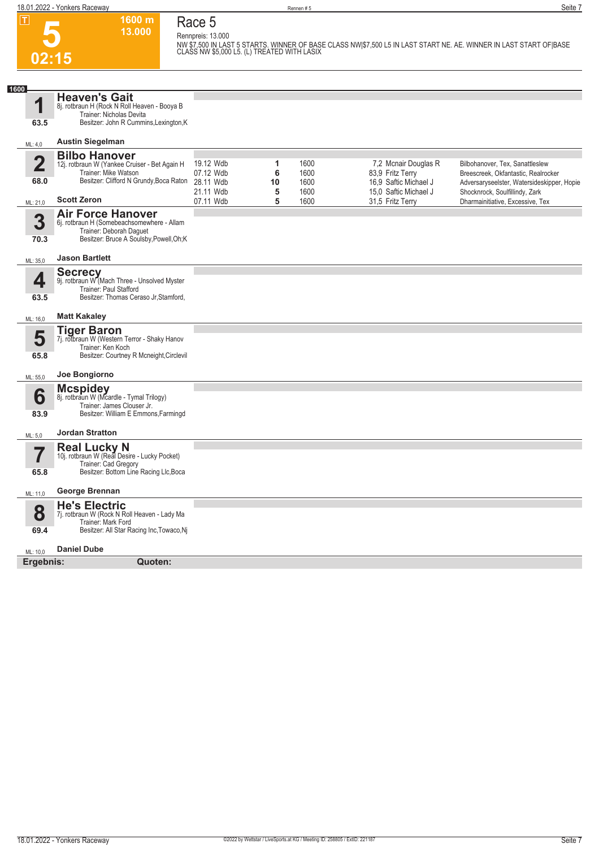**5**

**02:15**

**1600 m 13.000 Race 5 Rennpreis: 13.000**

**NW \$7,500 IN LAST 5 STARTS. WINNER OF BASE CLASS NW|\$7,500 L5 IN LAST START NE. AE. WINNER IN LAST START OF|BASE CLASS NW \$5,000 L5. (L) TREATED WITH LASIX** 

| 1600<br>4               | <b>Heaven's Gait</b>                                                     |                        |        |              |                                           |                                                                    |
|-------------------------|--------------------------------------------------------------------------|------------------------|--------|--------------|-------------------------------------------|--------------------------------------------------------------------|
|                         | 8j. rotbraun H (Rock N Roll Heaven - Booya B<br>Trainer: Nicholas Devita |                        |        |              |                                           |                                                                    |
| 63.5                    | Besitzer: John R Cummins, Lexington, K                                   |                        |        |              |                                           |                                                                    |
| ML: 4,0                 | <b>Austin Siegelman</b>                                                  |                        |        |              |                                           |                                                                    |
| $\overline{2}$          | <b>Bilbo Hanover</b>                                                     | 19.12 Wdb              | 1      | 1600         | 7,2 Mcnair Douglas R                      | Bilbohanover, Tex, Sanattleslew                                    |
|                         | 12j. rotbraun W (Yankee Cruiser - Bet Again H<br>Trainer: Mike Watson    | 07.12 Wdb              | 6      | 1600         | 83,9 Fritz Terry                          | Breescreek, Okfantastic, Realrocker                                |
| 68.0                    | Besitzer: Clifford N Grundy, Boca Raton                                  | 28.11 Wdb              | 10     | 1600         | 16,9 Saftic Michael J                     | Adversaryseelster, Watersideskipper, Hopie                         |
| ML: 21,0                | <b>Scott Zeron</b>                                                       | 21.11 Wdb<br>07.11 Wdb | 5<br>5 | 1600<br>1600 | 15,0 Saftic Michael J<br>31,5 Fritz Terry | Shocknrock, Soulfillindy, Zark<br>Dharmainitiative, Excessive, Tex |
|                         | <b>Air Force Hanover</b>                                                 |                        |        |              |                                           |                                                                    |
| 3                       | 6j. rotbraun H (Somebeachsomewhere - Allam<br>Trainer: Deborah Daquet    |                        |        |              |                                           |                                                                    |
| 70.3                    | Besitzer: Bruce A Soulsby, Powell, Oh; K                                 |                        |        |              |                                           |                                                                    |
| ML: 35,0                | <b>Jason Bartlett</b>                                                    |                        |        |              |                                           |                                                                    |
|                         | <b>Secrecy</b><br>9j. rotbraun W (Mach Three - Unsolved Myster           |                        |        |              |                                           |                                                                    |
| 4                       | Trainer: Paul Stafford                                                   |                        |        |              |                                           |                                                                    |
| 63.5                    | Besitzer: Thomas Ceraso Jr, Stamford,                                    |                        |        |              |                                           |                                                                    |
| ML: 16,0                | <b>Matt Kakaley</b>                                                      |                        |        |              |                                           |                                                                    |
| 5                       | <b>Tiger Baron</b><br>7j. rotbraun W (Western Terror - Shaky Hanov       |                        |        |              |                                           |                                                                    |
|                         | Trainer: Ken Koch                                                        |                        |        |              |                                           |                                                                    |
| 65.8                    | Besitzer: Courtney R Mcneight, Circlevil                                 |                        |        |              |                                           |                                                                    |
| ML: 55,0                | Joe Bongiorno                                                            |                        |        |              |                                           |                                                                    |
| 6                       | <b>Mcspidey</b><br>8j. rotbraun W (Mcardle - Tymal Trilogy)              |                        |        |              |                                           |                                                                    |
|                         | Trainer: James Clouser Jr.                                               |                        |        |              |                                           |                                                                    |
| 83.9                    | Besitzer: William E Emmons, Farmingd                                     |                        |        |              |                                           |                                                                    |
| ML: 5,0                 | <b>Jordan Stratton</b>                                                   |                        |        |              |                                           |                                                                    |
| $\overline{\mathbf{7}}$ | Real Lucky N<br>10j. rotbraun W (Real Desire - Lucky Pocket)             |                        |        |              |                                           |                                                                    |
|                         | Trainer: Cad Gregory                                                     |                        |        |              |                                           |                                                                    |
| 65.8                    | Besitzer: Bottom Line Racing Llc, Boca                                   |                        |        |              |                                           |                                                                    |
| ML: 11,0                | George Brennan                                                           |                        |        |              |                                           |                                                                    |
| 8                       | <b>He's Electric</b>                                                     |                        |        |              |                                           |                                                                    |
|                         | 7j. rotbraun W (Rock N Roll Heaven - Lady Ma<br>Trainer: Mark Ford       |                        |        |              |                                           |                                                                    |
| 69.4                    | Besitzer: All Star Racing Inc, Towaco, Nj                                |                        |        |              |                                           |                                                                    |
| ML: 10.0                | <b>Daniel Dube</b>                                                       |                        |        |              |                                           |                                                                    |
| Ergebnis:               | Quoten:                                                                  |                        |        |              |                                           |                                                                    |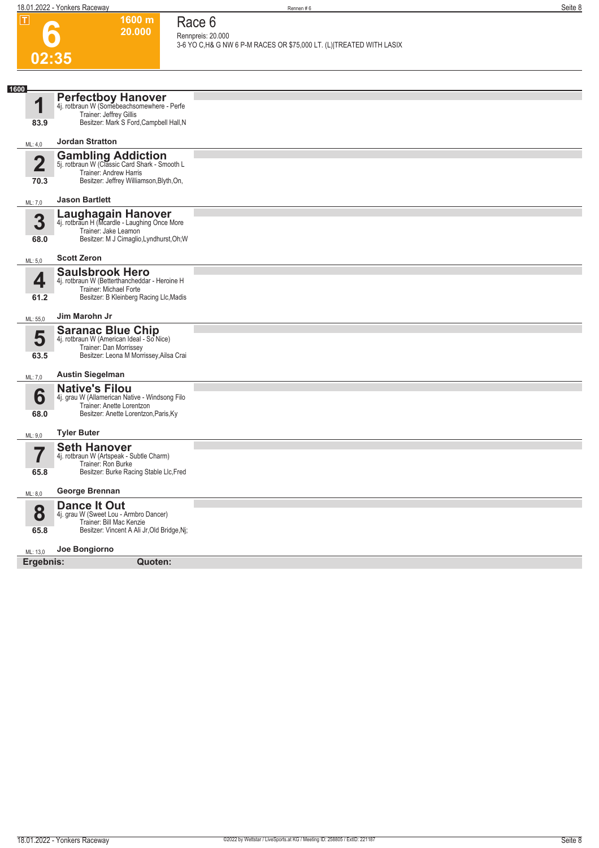**1600 m 20.000**  **Race 6 Rennpreis: 20.000**

| ட                               | 1999 HL<br>20.000                                                                                                                             | Race o<br>Rennpreis: 20.000                                          |
|---------------------------------|-----------------------------------------------------------------------------------------------------------------------------------------------|----------------------------------------------------------------------|
|                                 |                                                                                                                                               | 3-6 YO C, H& G NW 6 P-M RACES OR \$75,000 LT. (L) TREATED WITH LASIX |
|                                 | 02:35                                                                                                                                         |                                                                      |
|                                 |                                                                                                                                               |                                                                      |
| 1600<br>1<br>83.9               | Perfectboy Hanover<br>4j. rotbraun W (Somebeachsomewhere - Perfe<br>Trainer: Jeffrey Gillis<br>Besitzer: Mark S Ford, Campbell Hall, N        |                                                                      |
| ML: 4,0                         | <b>Jordan Stratton</b>                                                                                                                        |                                                                      |
|                                 | <b>Gambling Addiction</b><br>5j. rotbraun W (Classic Card Shark - Smooth L                                                                    |                                                                      |
| $\overline{\mathbf{2}}$<br>70.3 | Trainer: Andrew Harris<br>Besitzer: Jeffrey Williamson, Blyth, On,                                                                            |                                                                      |
| ML: 7,0                         | <b>Jason Bartlett</b>                                                                                                                         |                                                                      |
| 3<br>68.0                       | Laughagain Hanover<br>4j. rotbraun H (Mcardle - Laughing Once More<br>Trainer: Jake Leamon<br>Besitzer: M J Cimaglio, Lyndhurst, Oh; W        |                                                                      |
| ML: 5,0                         | <b>Scott Zeron</b>                                                                                                                            |                                                                      |
| 4<br>61.2                       | <b>Saulsbrook Hero</b><br>4j. rotbraun W (Betterthancheddar - Heroine H<br>Trainer: Michael Forte<br>Besitzer: B Kleinberg Racing Llc, Madis  |                                                                      |
| ML: 55,0                        | Jim Marohn Jr                                                                                                                                 |                                                                      |
| 5<br>63.5                       | <b>Saranac Blue Chip</b><br>4j. rotbraun W (American Ideal - So Nice)<br>Trainer: Dan Morrissey<br>Besitzer: Leona M Morrissey, Ailsa Crai    |                                                                      |
| ML: 7,0                         | <b>Austin Siegelman</b>                                                                                                                       |                                                                      |
| 6<br>68.0                       | <b>Native's Filou</b><br>4j. grau W (Allamerican Native - Windsong Filo<br>Trainer: Anette Lorentzon<br>Besitzer: Anette Lorentzon, Paris, Ky |                                                                      |
| ML: 9,0                         | <b>Tyler Buter</b>                                                                                                                            |                                                                      |
| 65.8                            | <b>Seth Hanover</b><br>4j. rotbraun W (Artspeak - Subtle Charm)<br>Trainer: Ron Burke<br>Besitzer: Burke Racing Stable Llc, Fred              |                                                                      |
| ML: 8,0                         | George Brennan                                                                                                                                |                                                                      |
| 8<br>65.8                       | Dance It Out<br>4j. grau W (Sweet Lou - Armbro Dancer)<br>Trainer: Bill Mac Kenzie<br>Besitzer: Vincent A Ali Jr, Old Bridge, Nj;             |                                                                      |
| ML: 13,0<br>Ergebnis:           | Joe Bongiorno<br><b>Quoten:</b>                                                                                                               |                                                                      |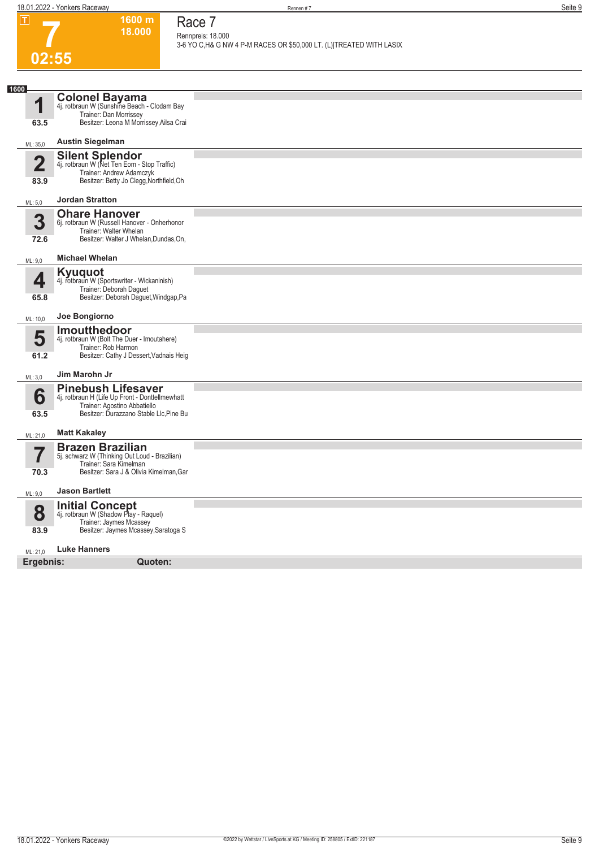**1600 m 18.000**  **Race 7 Rennpreis: 18.000**

**3-6 YO C,H& G NW 4 P-M RACES OR \$50,000 LT. (L)|TREATED WITH LASIX** 

# **7 02:55**

| 1600         | <b>Colonel Bayama</b><br>4j. rotbraun W (Sunshine Beach - Clodam Bay            |  |
|--------------|---------------------------------------------------------------------------------|--|
| 1            | Trainer: Dan Morrissey                                                          |  |
| 63.5         | Besitzer: Leona M Morrissey, Ailsa Crai                                         |  |
| ML: 35,0     | <b>Austin Siegelman</b>                                                         |  |
| $\mathbf{2}$ | Silent Splendor<br>4j. rotbraun W (Net Ten Eom - Stop Traffic)                  |  |
|              | Trainer: Andrew Adamczyk                                                        |  |
| 83.9         | Besitzer: Betty Jo Clegg, Northfield, Oh                                        |  |
| ML: 5,0      | <b>Jordan Stratton</b>                                                          |  |
| 3            | <b>Ohare Hanover</b><br>6j. rotbraun W (Russell Hanover - Onherhonor            |  |
|              | Trainer: Walter Whelan                                                          |  |
| 72.6         | Besitzer: Walter J Whelan, Dundas, On,                                          |  |
| ML: 9,0      | <b>Michael Whelan</b>                                                           |  |
| 4            | Kyuquot<br>4j. rotbraun W (Sportswriter - Wickaninish)                          |  |
|              | Trainer: Deborah Daguet                                                         |  |
| 65.8         | Besitzer: Deborah Daguet, Windgap, Pa                                           |  |
| ML: 10,0     | Joe Bongiorno                                                                   |  |
| 5            | <b>Imoutthedoor</b>                                                             |  |
|              | 4j. rotbraun W (Bolt The Duer - Imoutahere)<br>Trainer: Rob Harmon              |  |
| 61.2         | Besitzer: Cathy J Dessert, Vadnais Heig                                         |  |
| ML: 3,0      | Jim Marohn Jr                                                                   |  |
|              | <b>Pinebush Lifesaver</b>                                                       |  |
| 6            | 4j. rotbraun H (Life Up Front - Donttellmewhatt<br>Trainer: Agostino Abbatiello |  |
| 63.5         | Besitzer: Durazzano Stable Llc, Pine Bu                                         |  |
| ML: 21,0     | <b>Matt Kakaley</b>                                                             |  |
| 7            | <b>Brazen Brazilian</b>                                                         |  |
|              | 5j. schwarz W (Thinking Out Loud - Brazilian)<br>Trainer: Sara Kimelman         |  |
| 70.3         | Besitzer: Sara J & Olivia Kimelman, Gar                                         |  |
| ML: 9,0      | <b>Jason Bartlett</b>                                                           |  |
| 8            | <b>Initial Concept</b>                                                          |  |
|              | 4j. rotbraun W (Shadow Play - Raquel)<br>Trainer: Jaymes Mcassey                |  |
| 83.9         | Besitzer: Jaymes Mcassey, Saratoga S                                            |  |
| ML: 21,0     | <b>Luke Hanners</b>                                                             |  |
| Ergebnis:    | Quoten:                                                                         |  |
|              |                                                                                 |  |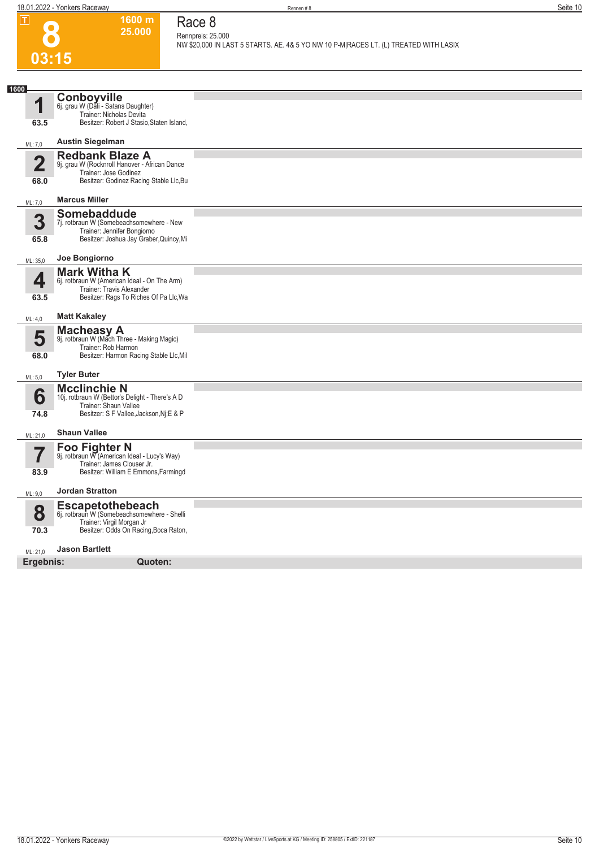**1600 m 25.000** 

**Race 8 Rennpreis: 25.000**

**NW \$20,000 IN LAST 5 STARTS. AE. 4& 5 YO NW 10 P-M|RACES LT. (L) TREATED WITH LASIX** 



| 1600                            | Conboyville                                                                                                                                  |  |
|---------------------------------|----------------------------------------------------------------------------------------------------------------------------------------------|--|
| 1                               | 6j. grau W (Dali - Satans Daughter)<br>Trainer: Nicholas Devita                                                                              |  |
| 63.5                            | Besitzer: Robert J Stasio, Staten Island,                                                                                                    |  |
| ML: 7,0                         | <b>Austin Siegelman</b>                                                                                                                      |  |
| $\overline{\mathbf{2}}$<br>68.0 | <b>Redbank Blaze A</b><br>9j. grau W (Rocknroll Hanover - African Dance<br>Trainer: Jose Godinez<br>Besitzer: Godinez Racing Stable Llc, Bu  |  |
| ML: 7,0                         | <b>Marcus Miller</b>                                                                                                                         |  |
| 3<br>65.8                       | Somebaddude<br>7j. rotbraun W (Somebeachsomewhere - New<br>Trainer: Jennifer Bongiorno<br>Besitzer: Joshua Jay Graber, Quincy, Mi            |  |
|                                 | Joe Bongiorno                                                                                                                                |  |
| ML: 35,0                        | <b>Mark Witha K</b>                                                                                                                          |  |
| 4                               | 6j. rotbraun W (American Ideal - On The Arm)<br>Trainer: Travis Alexander                                                                    |  |
| 63.5                            | Besitzer: Rags To Riches Of Pa Llc, Wa                                                                                                       |  |
| ML: 4,0                         | <b>Matt Kakaley</b>                                                                                                                          |  |
| 5<br>68.0                       | <b>Macheasy A</b><br>9j. rotbraun W (Mach Three - Making Magic)<br>Trainer: Rob Harmon<br>Besitzer: Harmon Racing Stable Llc, Mil            |  |
| ML: 5,0                         | <b>Tyler Buter</b>                                                                                                                           |  |
| 6<br>74.8                       | <b>Mcclinchie N</b><br>10j. rotbraun W (Bettor's Delight - There's A D<br>Trainer: Shaun Vallee<br>Besitzer: S F Vallee, Jackson, Ni; E & P  |  |
| ML: 21,0                        | <b>Shaun Vallee</b>                                                                                                                          |  |
| 5<br>83.9                       | <b>Foo Fighter N</b><br>9j. rotbraun W (American Ideal - Lucy's Way)<br>Trainer: James Clouser Jr.<br>Besitzer: William E Emmons, Farmingd   |  |
| ML: 9,0                         | <b>Jordan Stratton</b>                                                                                                                       |  |
| 8<br>70.3                       | <b>Escapetothebeach</b><br>6j. rotbraun W (Somebeachsomewhere - Shelli<br>Trainer: Virgil Morgan Jr<br>Besitzer: Odds On Racing, Boca Raton, |  |
| ML: 21,0                        | <b>Jason Bartlett</b>                                                                                                                        |  |
| Ergebnis:                       | Quoten:                                                                                                                                      |  |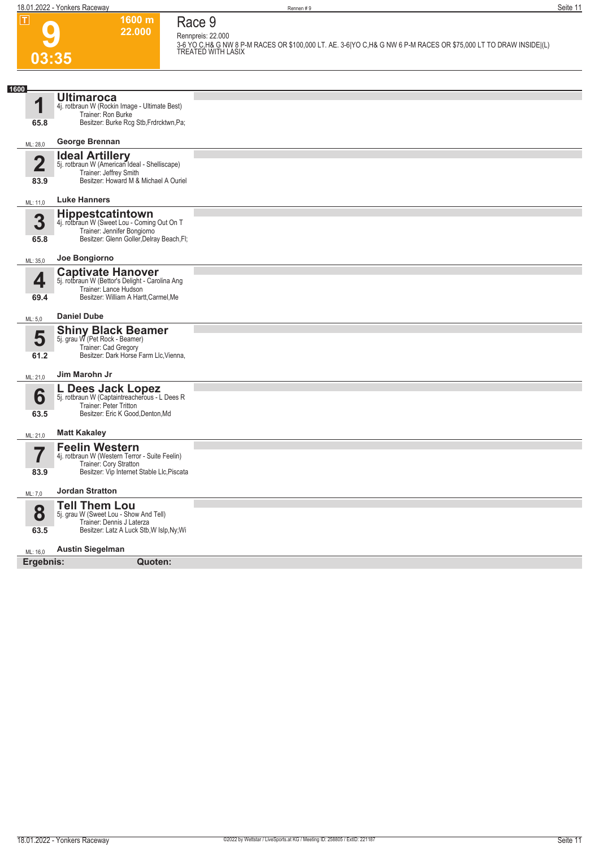

### **Race 9 Rennpreis: 22.000**

**1600 m 22.000** 

**3-6 YO C,H& G NW 8 P-M RACES OR \$100,000 LT. AE. 3-6|YO C,H& G NW 6 P-M RACES OR \$75,000 LT TO DRAW INSIDE|(L) TREATED WITH LASIX** 

| 1600                            |                                                                                                                                                    |  |  |  |
|---------------------------------|----------------------------------------------------------------------------------------------------------------------------------------------------|--|--|--|
| 1                               | <b>Ultimaroca</b><br>4j. rotbraun W (Rockin Image - Ultimate Best)<br>Trainer: Ron Burke                                                           |  |  |  |
| 65.8                            | Besitzer: Burke Rcg Stb, Frdrcktwn, Pa;                                                                                                            |  |  |  |
| ML: 28,0                        | George Brennan                                                                                                                                     |  |  |  |
| $\overline{\mathbf{2}}$<br>83.9 | <b>Ideal Artillery</b><br>5j. rotbraun W (American Ideal - Shelliscape)<br>Trainer: Jeffrey Smith<br>Besitzer: Howard M & Michael A Ouriel         |  |  |  |
| ML: 11,0                        | <b>Luke Hanners</b>                                                                                                                                |  |  |  |
| 3<br>65.8                       | <b>Hippestcatintown</b><br>4j. rotbraun W (Sweet Lou - Coming Out On T<br>Trainer: Jennifer Bongiorno<br>Besitzer: Glenn Goller, Delray Beach, Fl; |  |  |  |
| ML: 35,0                        | Joe Bongiorno                                                                                                                                      |  |  |  |
| 4                               | <b>Captivate Hanover</b><br>5j. rotbraun W (Bettor's Delight - Carolina Ang<br>Trainer: Lance Hudson                                               |  |  |  |
| 69.4                            | Besitzer: William A Hartt, Carmel, Me                                                                                                              |  |  |  |
| ML: 5,0                         | <b>Daniel Dube</b>                                                                                                                                 |  |  |  |
| 5<br>61.2                       | <b>Shiny Black Beamer</b><br>5j. grau W (Pet Rock - Beamer)<br>Trainer: Cad Gregory<br>Besitzer: Dark Horse Farm Llc, Vienna,                      |  |  |  |
| ML: 21,0                        | Jim Marohn Jr                                                                                                                                      |  |  |  |
| 6<br>63.5                       | L Dees Jack Lopez<br>5j. rotbraun W (Captaintreacherous - L Dees R<br>Trainer: Peter Tritton<br>Besitzer: Eric K Good, Denton, Md                  |  |  |  |
| ML: 21,0                        | <b>Matt Kakaley</b>                                                                                                                                |  |  |  |
| 7                               | <b>Feelin Western</b><br>4j. rotbraun W (Western Terror - Suite Feelin)<br>Trainer: Cory Stratton                                                  |  |  |  |
| 83.9                            | Besitzer: Vip Internet Stable Llc, Piscata                                                                                                         |  |  |  |
| ML: 7,0                         | <b>Jordan Stratton</b>                                                                                                                             |  |  |  |
| 8                               | <b>Tell Them Lou</b><br>5j. grau W (Sweet Lou - Show And Tell)<br>Trainer: Dennis J Laterza                                                        |  |  |  |
| 63.5                            | Besitzer: Latz A Luck Stb, W Islp, Ny; Wi                                                                                                          |  |  |  |
| ML: 16,0                        | <b>Austin Siegelman</b>                                                                                                                            |  |  |  |
| Ergebnis:<br>Quoten:            |                                                                                                                                                    |  |  |  |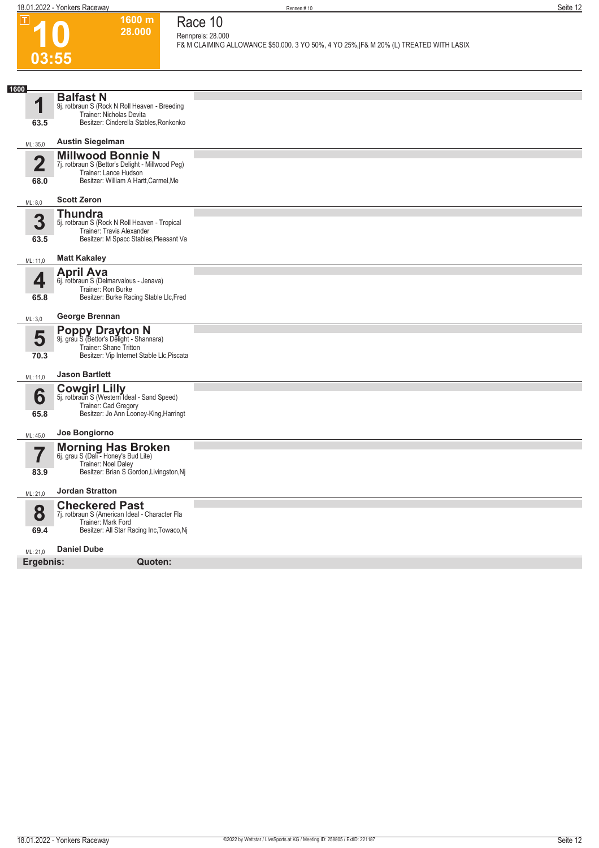**10**

 $\boxed{1}$ 

**03:55**

**1600 m 28.000 Race 10**

**Rennpreis: 28.000**

**F& M CLAIMING ALLOWANCE \$50,000. 3 YO 50%, 4 YO 25%,|F& M 20% (L) TREATED WITH LASIX** 

| 1600                                         |                                                                                                                                                |  |
|----------------------------------------------|------------------------------------------------------------------------------------------------------------------------------------------------|--|
| И                                            | <b>Balfast N</b><br>9j. rotbraun S (Rock N Roll Heaven - Breeding<br>Trainer: Nicholas Devita                                                  |  |
| 63.5                                         | Besitzer: Cinderella Stables, Ronkonko                                                                                                         |  |
| ML: 35,0                                     | <b>Austin Siegelman</b>                                                                                                                        |  |
| 2<br>68.0                                    | <b>Millwood Bonnie N</b><br>7j. rotbraun S (Bettor's Delight - Millwood Peg)<br>Trainer: Lance Hudson<br>Besitzer: William A Hartt, Carmel, Me |  |
| ML: 8,0                                      | <b>Scott Zeron</b>                                                                                                                             |  |
| 3<br>63.5                                    | <b>Thundra</b><br>5j. rotbraun S (Rock N Roll Heaven - Tropical<br>Trainer: Travis Alexander<br>Besitzer: M Spacc Stables, Pleasant Va         |  |
| ML: 11,0                                     | <b>Matt Kakaley</b>                                                                                                                            |  |
| 4<br>65.8                                    | <b>April Ava</b><br>6j. rotbraun S (Delmarvalous - Jenava)<br>Trainer: Ron Burke<br>Besitzer: Burke Racing Stable Llc, Fred                    |  |
| ML: 3,0                                      | George Brennan                                                                                                                                 |  |
| 5<br>70.3                                    | <b>Poppy Drayton N</b><br>9j. grau S (Bettor's Delight - Shannara)<br>Trainer: Shane Tritton<br>Besitzer: Vip Internet Stable Llc, Piscata     |  |
| ML: 11,0                                     | <b>Jason Bartlett</b>                                                                                                                          |  |
| 6<br>65.8                                    | <b>Cowgirl Lilly</b><br>5j. rotbraun S (Western Ideal - Sand Speed)<br>Trainer: Cad Gregory<br>Besitzer: Jo Ann Looney-King, Harringt          |  |
| ML: 45,0                                     | Joe Bongiorno                                                                                                                                  |  |
| $\overline{\phantom{a}}$<br>$\prime$<br>83.9 | Morning Has Broken<br>6j. grau S (Dali - Honey's Bud Lite)<br>Trainer: Noel Daley<br>Besitzer: Brian S Gordon, Livingston, Nj                  |  |
| ML: 21,0                                     | <b>Jordan Stratton</b>                                                                                                                         |  |
| 8<br>69.4                                    | <b>Checkered Past</b><br>7j. rotbraun S (American Ideal - Character Fla<br>Trainer: Mark Ford<br>Besitzer: All Star Racing Inc, Towaco, Nj     |  |
| ML: 21,0                                     | <b>Daniel Dube</b>                                                                                                                             |  |
| Ergebnis:                                    | Quoten:                                                                                                                                        |  |
|                                              |                                                                                                                                                |  |